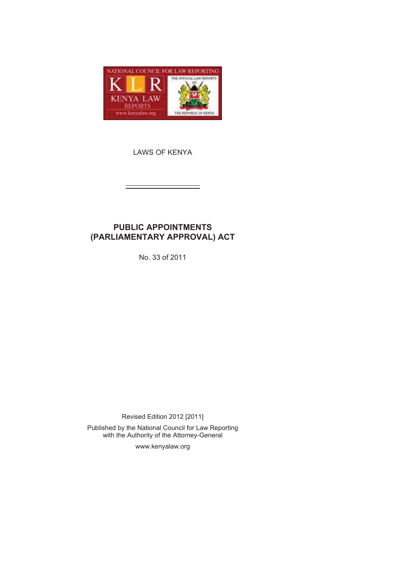

LAWS OF KENYA

# **PUBLIC APPOINTMENTS (PARLIAMENTARY APPROVAL) ACT**

No. 33 of 2011

Revised Edition 2012 [2011]

Published by the National Council for Law Reporting with the Authority of the Attorney-General

www.kenyalaw.org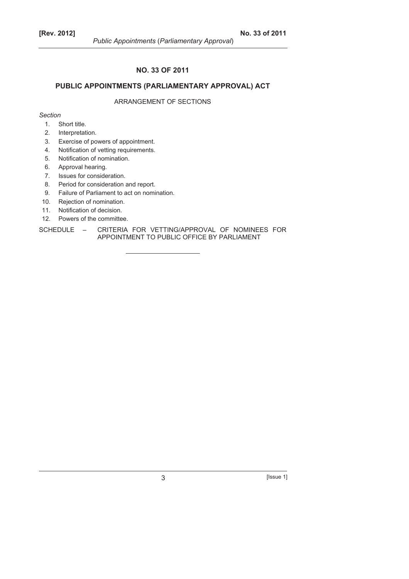## **NO. 33 OF 2011**

# **PUBLIC APPOINTMENTS (PARLIAMENTARY APPROVAL) ACT**

# ARRANGEMENT OF SECTIONS

*Section* 

- 1. Short title.
- 2. Interpretation.
- 3. Exercise of powers of appointment.
- 4. Notification of vetting requirements.
- 5. Notification of nomination.
- 6. Approval hearing.
- 7. Issues for consideration.
- 8. Period for consideration and report.
- 9. Failure of Parliament to act on nomination.
- 10. Rejection of nomination.
- 11. Notification of decision.
- 12. Powers of the committee.
- SCHEDULE CRITERIA FOR VETTING/APPROVAL OF NOMINEES FOR APPOINTMENT TO PUBLIC OFFICE BY PARLIAMENT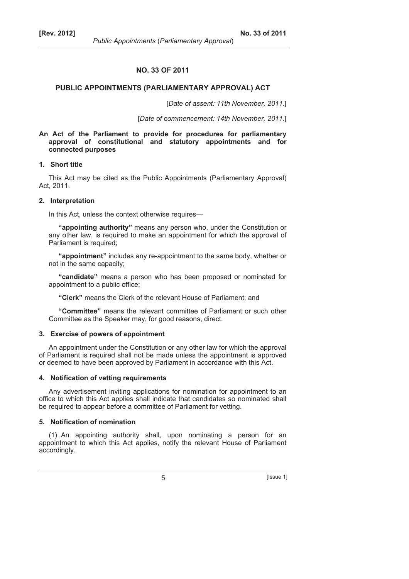## **NO. 33 OF 2011**

# **PUBLIC APPOINTMENTS (PARLIAMENTARY APPROVAL) ACT**

[*Date of assent: 11th November, 2011*.]

[*Date of* c*ommencement: 14th November, 2011*.]

## **An Act of the Parliament to provide for procedures for parliamentary approval of constitutional and statutory appointments and for connected purposes**

### **1. Short title**

This Act may be cited as the Public Appointments (Parliamentary Approval) Act, 2011.

#### **2. Interpretation**

In this Act, unless the context otherwise requires—

**"appointing authority"** means any person who, under the Constitution or any other law, is required to make an appointment for which the approval of Parliament is required;

**"appointment"** includes any re-appointment to the same body, whether or not in the same capacity;

**"candidate"** means a person who has been proposed or nominated for appointment to a public office;

**"Clerk"** means the Clerk of the relevant House of Parliament; and

**"Committee"** means the relevant committee of Parliament or such other Committee as the Speaker may, for good reasons, direct.

## **3. Exercise of powers of appointment**

An appointment under the Constitution or any other law for which the approval of Parliament is required shall not be made unless the appointment is approved or deemed to have been approved by Parliament in accordance with this Act.

#### **4. Notification of vetting requirements**

Any advertisement inviting applications for nomination for appointment to an office to which this Act applies shall indicate that candidates so nominated shall be required to appear before a committee of Parliament for vetting.

# **5. Notification of nomination**

(1) An appointing authority shall, upon nominating a person for an appointment to which this Act applies, notify the relevant House of Parliament accordingly.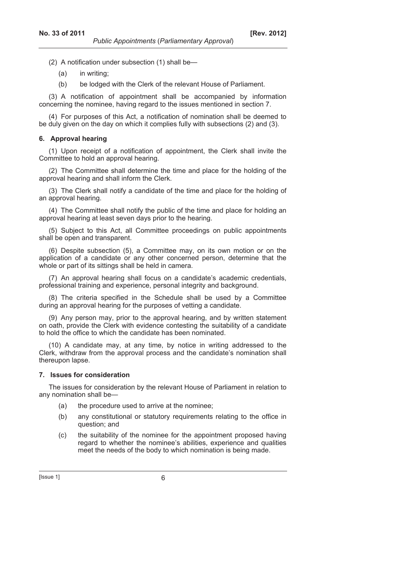- (2) A notification under subsection (1) shall be—
	- (a) in writing;
	- (b) be lodged with the Clerk of the relevant House of Parliament.

(3) A notification of appointment shall be accompanied by information concerning the nominee, having regard to the issues mentioned in section 7.

(4) For purposes of this Act, a notification of nomination shall be deemed to be duly given on the day on which it complies fully with subsections (2) and (3).

## **6. Approval hearing**

(1) Upon receipt of a notification of appointment, the Clerk shall invite the Committee to hold an approval hearing.

(2) The Committee shall determine the time and place for the holding of the approval hearing and shall inform the Clerk.

(3) The Clerk shall notify a candidate of the time and place for the holding of an approval hearing.

(4) The Committee shall notify the public of the time and place for holding an approval hearing at least seven days prior to the hearing.

(5) Subject to this Act, all Committee proceedings on public appointments shall be open and transparent.

(6) Despite subsection (5), a Committee may, on its own motion or on the application of a candidate or any other concerned person, determine that the whole or part of its sittings shall be held in camera.

(7) An approval hearing shall focus on a candidate's academic credentials, professional training and experience, personal integrity and background.

(8) The criteria specified in the Schedule shall be used by a Committee during an approval hearing for the purposes of vetting a candidate.

(9) Any person may, prior to the approval hearing, and by written statement on oath, provide the Clerk with evidence contesting the suitability of a candidate to hold the office to which the candidate has been nominated.

(10) A candidate may, at any time, by notice in writing addressed to the Clerk, withdraw from the approval process and the candidate's nomination shall thereupon lapse.

#### **7. Issues for consideration**

The issues for consideration by the relevant House of Parliament in relation to any nomination shall be—

- (a) the procedure used to arrive at the nominee;
- (b) any constitutional or statutory requirements relating to the office in question; and
- (c) the suitability of the nominee for the appointment proposed having regard to whether the nominee's abilities, experience and qualities meet the needs of the body to which nomination is being made.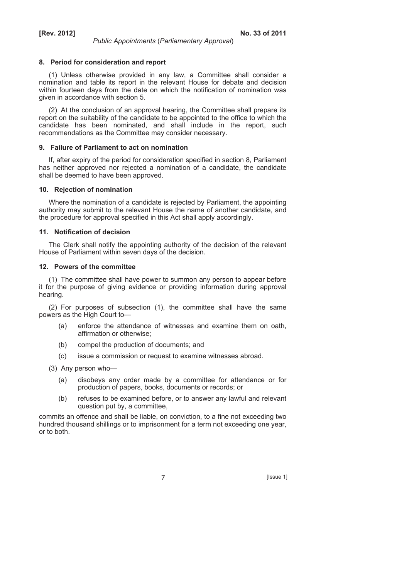## **8. Period for consideration and report**

(1) Unless otherwise provided in any law, a Committee shall consider a nomination and table its report in the relevant House for debate and decision within fourteen days from the date on which the notification of nomination was given in accordance with section 5.

(2) At the conclusion of an approval hearing, the Committee shall prepare its report on the suitability of the candidate to be appointed to the office to which the candidate has been nominated, and shall include in the report, such recommendations as the Committee may consider necessary.

#### **9. Failure of Parliament to act on nomination**

If, after expiry of the period for consideration specified in section 8, Parliament has neither approved nor rejected a nomination of a candidate, the candidate shall be deemed to have been approved.

### **10. Rejection of nomination**

Where the nomination of a candidate is rejected by Parliament, the appointing authority may submit to the relevant House the name of another candidate, and the procedure for approval specified in this Act shall apply accordingly.

## **11. Notification of decision**

The Clerk shall notify the appointing authority of the decision of the relevant House of Parliament within seven days of the decision.

# **12. Powers of the committee**

(1) The committee shall have power to summon any person to appear before it for the purpose of giving evidence or providing information during approval hearing.

(2) For purposes of subsection (1), the committee shall have the same powers as the High Court to—

- (a) enforce the attendance of witnesses and examine them on oath, affirmation or otherwise;
- (b) compel the production of documents; and
- (c) issue a commission or request to examine witnesses abroad.

(3) Any person who—

- (a) disobeys any order made by a committee for attendance or for production of papers, books, documents or records; or
- (b) refuses to be examined before, or to answer any lawful and relevant question put by, a committee,

commits an offence and shall be liable, on conviction, to a fine not exceeding two hundred thousand shillings or to imprisonment for a term not exceeding one year, or to both.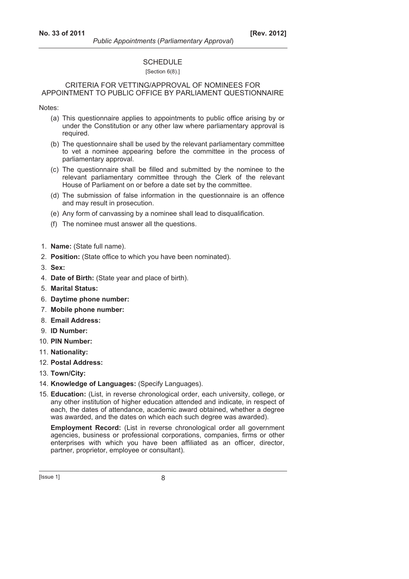# **SCHEDULE**

## [Section 6(8).]

## CRITERIA FOR VETTING/APPROVAL OF NOMINEES FOR APPOINTMENT TO PUBLIC OFFICE BY PARLIAMENT QUESTIONNAIRE

Notes:

- (a) This questionnaire applies to appointments to public office arising by or under the Constitution or any other law where parliamentary approval is required.
- (b) The questionnaire shall be used by the relevant parliamentary committee to vet a nominee appearing before the committee in the process of parliamentary approval.
- (c) The questionnaire shall be filled and submitted by the nominee to the relevant parliamentary committee through the Clerk of the relevant House of Parliament on or before a date set by the committee.
- (d) The submission of false information in the questionnaire is an offence and may result in prosecution.
- (e) Any form of canvassing by a nominee shall lead to disqualification.
- (f) The nominee must answer all the questions.
- 1. **Name:** (State full name).
- 2. **Position:** (State office to which you have been nominated).
- 3. **Sex:**
- 4. **Date of Birth:** (State year and place of birth).
- 5. **Marital Status:**
- 6. **Daytime phone number:**
- 7. **Mobile phone number:**
- 8. **Email Address:**
- 9. **ID Number:**
- 10. **PIN Number:**
- 11. **Nationality:**
- 12. **Postal Address:**
- 13. **Town/City:**
- 14. **Knowledge of Languages:** (Specify Languages).
- 15. **Education:** (List, in reverse chronological order, each university, college, or any other institution of higher education attended and indicate, in respect of each, the dates of attendance, academic award obtained, whether a degree was awarded, and the dates on which each such degree was awarded).

 **Employment Record:** (List in reverse chronological order all government agencies, business or professional corporations, companies, firms or other enterprises with which you have been affiliated as an officer, director, partner, proprietor, employee or consultant).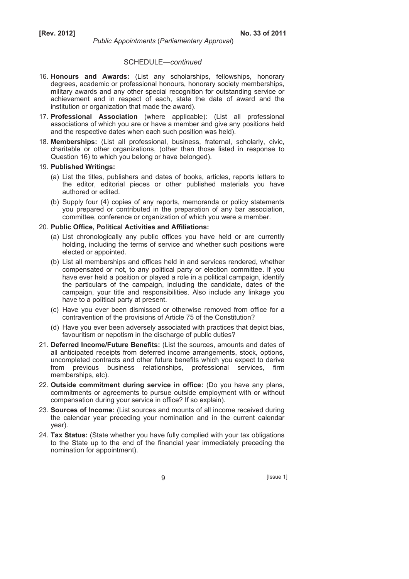## SCHEDULE—*continued*

- 16. **Honours and Awards:** (List any scholarships, fellowships, honorary degrees, academic or professional honours, honorary society memberships, military awards and any other special recognition for outstanding service or achievement and in respect of each, state the date of award and the institution or organization that made the award).
- 17. **Professional Association** (where applicable): (List all professional associations of which you are or have a member and give any positions held and the respective dates when each such position was held).
- 18. **Memberships:** (List all professional, business, fraternal, scholarly, civic, charitable or other organizations, (other than those listed in response to Question 16) to which you belong or have belonged).
- 19. **Published Writings:**
	- (a) List the titles, publishers and dates of books, articles, reports letters to the editor, editorial pieces or other published materials you have authored or edited.
	- (b) Supply four (4) copies of any reports, memoranda or policy statements you prepared or contributed in the preparation of any bar association, committee, conference or organization of which you were a member.

#### 20. **Public Office, Political Activities and Affiliations:**

- (a) List chronologically any public offices you have held or are currently holding, including the terms of service and whether such positions were elected or appointed.
- (b) List all memberships and offices held in and services rendered, whether compensated or not, to any political party or election committee. If you have ever held a position or played a role in a political campaign, identify the particulars of the campaign, including the candidate, dates of the campaign, your title and responsibilities. Also include any linkage you have to a political party at present.
- (c) Have you ever been dismissed or otherwise removed from office for a contravention of the provisions of Article 75 of the Constitution?
- (d) Have you ever been adversely associated with practices that depict bias, favouritism or nepotism in the discharge of public duties?
- 21. **Deferred Income/Future Benefits:** (List the sources, amounts and dates of all anticipated receipts from deferred income arrangements, stock, options, uncompleted contracts and other future benefits which you expect to derive from previous business relationships, professional services, firm memberships, etc).
- 22. **Outside commitment during service in office:** (Do you have any plans, commitments or agreements to pursue outside employment with or without compensation during your service in office? If so explain).
- 23. **Sources of Income:** (List sources and mounts of all income received during the calendar year preceding your nomination and in the current calendar year).
- 24. **Tax Status:** (State whether you have fully complied with your tax obligations to the State up to the end of the financial year immediately preceding the nomination for appointment).